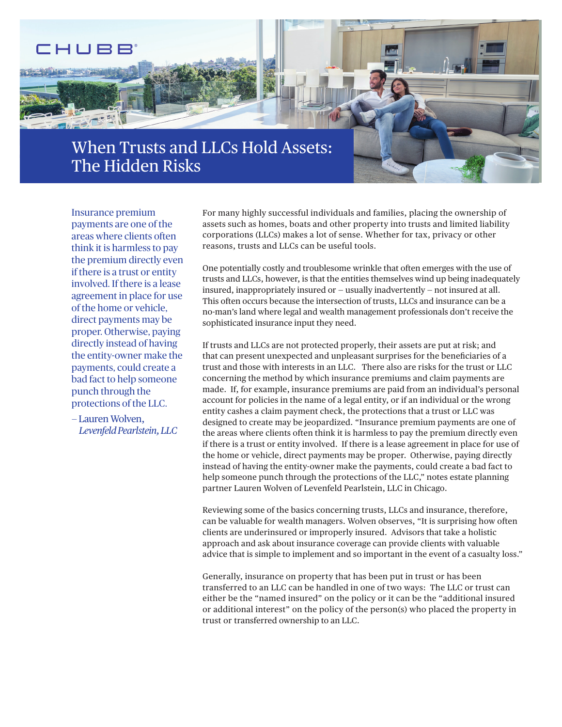

Insurance premium payments are one of the areas where clients often think it is harmless to pay the premium directly even if there is a trust or entity involved. If there is a lease agreement in place for use of the home or vehicle, direct payments may be proper. Otherwise, paying directly instead of having the entity-owner make the payments, could create a bad fact to help someone punch through the protections of the LLC.

— Lauren Wolven, *Levenfeld Pearlstein, LLC*  For many highly successful individuals and families, placing the ownership of assets such as homes, boats and other property into trusts and limited liability corporations (LLCs) makes a lot of sense. Whether for tax, privacy or other reasons, trusts and LLCs can be useful tools.

One potentially costly and troublesome wrinkle that often emerges with the use of trusts and LLCs, however, is that the entities themselves wind up being inadequately insured, inappropriately insured or — usually inadvertently — not insured at all. This often occurs because the intersection of trusts, LLCs and insurance can be a no-man's land where legal and wealth management professionals don't receive the sophisticated insurance input they need.

If trusts and LLCs are not protected properly, their assets are put at risk; and that can present unexpected and unpleasant surprises for the benefciaries of a trust and those with interests in an LLC. There also are risks for the trust or LLC concerning the method by which insurance premiums and claim payments are made. If, for example, insurance premiums are paid from an individual's personal account for policies in the name of a legal entity, or if an individual or the wrong entity cashes a claim payment check, the protections that a trust or LLC was designed to create may be jeopardized. "Insurance premium payments are one of the areas where clients often think it is harmless to pay the premium directly even if there is a trust or entity involved. If there is a lease agreement in place for use of the home or vehicle, direct payments may be proper. Otherwise, paying directly instead of having the entity-owner make the payments, could create a bad fact to help someone punch through the protections of the LLC," notes estate planning partner Lauren Wolven of Levenfeld Pearlstein, LLC in Chicago.

Reviewing some of the basics concerning trusts, LLCs and insurance, therefore, can be valuable for wealth managers. Wolven observes, "It is surprising how often clients are underinsured or improperly insured. Advisors that take a holistic approach and ask about insurance coverage can provide clients with valuable advice that is simple to implement and so important in the event of a casualty loss."

 trust or transferred ownership to an LLC. Generally, insurance on property that has been put in trust or has been transferred to an LLC can be handled in one of two ways: The LLC or trust can either be the "named insured" on the policy or it can be the "additional insured or additional interest" on the policy of the person(s) who placed the property in